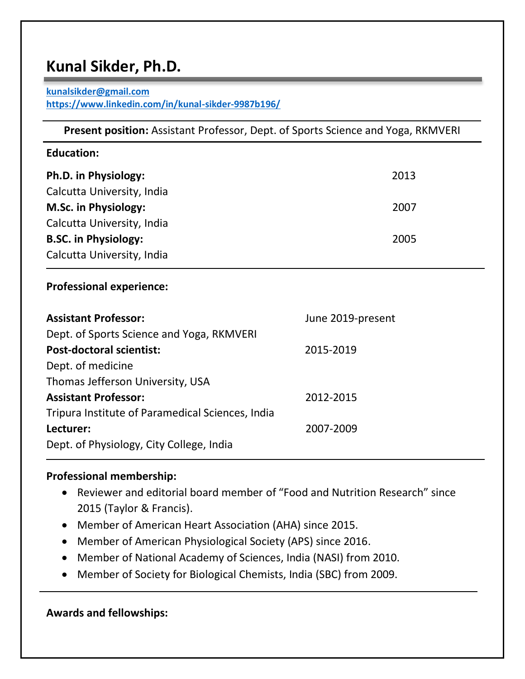# **Kunal Sikder, Ph.D.**

#### **[kunalsikder@gmail.com](mailto:kunalsikder@gmail.com) <https://www.linkedin.com/in/kunal-sikder-9987b196/>**

| <b>Present position:</b> Assistant Professor, Dept. of Sports Science and Yoga, RKMVERI |                   |
|-----------------------------------------------------------------------------------------|-------------------|
| <b>Education:</b>                                                                       |                   |
| Ph.D. in Physiology:                                                                    | 2013              |
| Calcutta University, India                                                              |                   |
| <b>M.Sc. in Physiology:</b>                                                             | 2007              |
| Calcutta University, India                                                              |                   |
| <b>B.SC. in Physiology:</b>                                                             | 2005              |
| Calcutta University, India                                                              |                   |
| <b>Professional experience:</b>                                                         |                   |
| <b>Assistant Professor:</b>                                                             | June 2019-present |
| Dept. of Sports Science and Yoga, RKMVERI                                               |                   |
| <b>Post-doctoral scientist:</b>                                                         | 2015-2019         |
| Dept. of medicine                                                                       |                   |
| Thomas Jefferson University, USA                                                        |                   |
| <b>Assistant Professor:</b>                                                             | 2012-2015         |
| Tripura Institute of Paramedical Sciences, India                                        |                   |
| Lecturer:                                                                               | 2007-2009         |
| Dept. of Physiology, City College, India                                                |                   |

## **Professional membership:**

- Reviewer and editorial board member of "Food and Nutrition Research" since 2015 (Taylor & Francis).
- Member of American Heart Association (AHA) since 2015.
- Member of American Physiological Society (APS) since 2016.
- Member of National Academy of Sciences, India (NASI) from 2010.
- Member of Society for Biological Chemists, India (SBC) from 2009.

**Awards and fellowships:**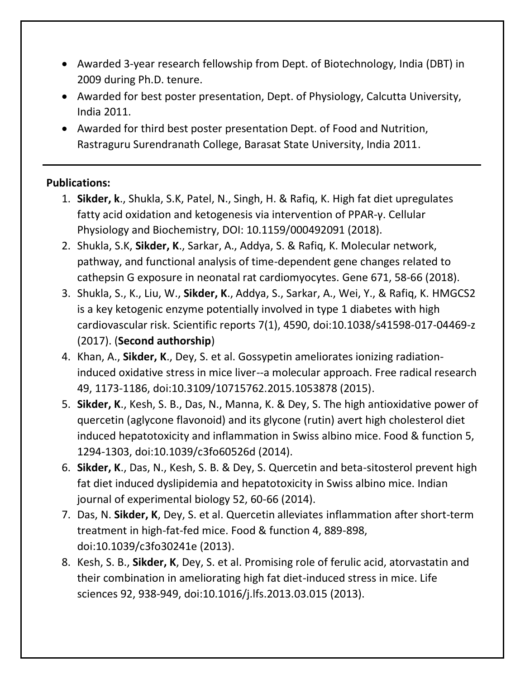- Awarded 3-year research fellowship from Dept. of Biotechnology, India (DBT) in 2009 during Ph.D. tenure.
- Awarded for best poster presentation, Dept. of Physiology, Calcutta University, India 2011.
- Awarded for third best poster presentation Dept. of Food and Nutrition, Rastraguru Surendranath College, Barasat State University, India 2011.

# **Publications:**

- 1. **Sikder, k**., Shukla, S.K, Patel, N., Singh, H. & Rafiq, K. High fat diet upregulates fatty acid oxidation and ketogenesis via intervention of PPAR-γ. Cellular Physiology and Biochemistry, DOI: 10.1159/000492091 (2018).
- 2. Shukla, S.K, **Sikder, K**., Sarkar, A., Addya, S. & Rafiq, K. Molecular network, pathway, and functional analysis of time-dependent gene changes related to cathepsin G exposure in neonatal rat cardiomyocytes. Gene 671, 58-66 (2018).
- 3. Shukla, S., K., Liu, W., **Sikder, K**., Addya, S., Sarkar, A., Wei, Y., & Rafiq, K. HMGCS2 is a key ketogenic enzyme potentially involved in type 1 diabetes with high cardiovascular risk. Scientific reports 7(1), 4590, doi:10.1038/s41598-017-04469-z (2017). (**Second authorship**)
- 4. Khan, A., **Sikder, K**., Dey, S. et al. Gossypetin ameliorates ionizing radiationinduced oxidative stress in mice liver--a molecular approach. Free radical research 49, 1173-1186, doi:10.3109/10715762.2015.1053878 (2015).
- 5. **Sikder, K**., Kesh, S. B., Das, N., Manna, K. & Dey, S. The high antioxidative power of quercetin (aglycone flavonoid) and its glycone (rutin) avert high cholesterol diet induced hepatotoxicity and inflammation in Swiss albino mice. Food & function 5, 1294-1303, doi:10.1039/c3fo60526d (2014).
- 6. **Sikder, K**., Das, N., Kesh, S. B. & Dey, S. Quercetin and beta-sitosterol prevent high fat diet induced dyslipidemia and hepatotoxicity in Swiss albino mice. Indian journal of experimental biology 52, 60-66 (2014).
- 7. Das, N. **Sikder, K**, Dey, S. et al. Quercetin alleviates inflammation after short-term treatment in high-fat-fed mice. Food & function 4, 889-898, doi:10.1039/c3fo30241e (2013).
- 8. Kesh, S. B., **Sikder, K**, Dey, S. et al. Promising role of ferulic acid, atorvastatin and their combination in ameliorating high fat diet-induced stress in mice. Life sciences 92, 938-949, doi:10.1016/j.lfs.2013.03.015 (2013).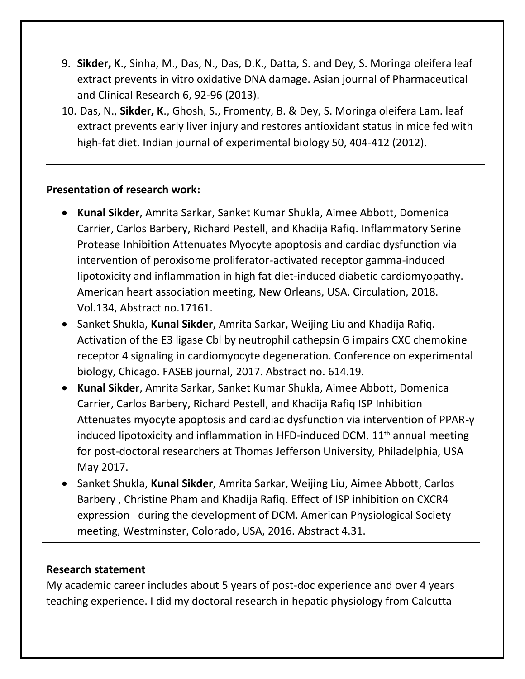- 9. **Sikder, K**., Sinha, M., Das, N., Das, D.K., Datta, S. and Dey, S. Moringa oleifera leaf extract prevents in vitro oxidative DNA damage. Asian journal of Pharmaceutical and Clinical Research 6, 92-96 (2013).
- 10. Das, N., **Sikder, K**., Ghosh, S., Fromenty, B. & Dey, S. Moringa oleifera Lam. leaf extract prevents early liver injury and restores antioxidant status in mice fed with high-fat diet. Indian journal of experimental biology 50, 404-412 (2012).

#### **Presentation of research work:**

- **Kunal Sikder**, Amrita Sarkar, Sanket Kumar Shukla, Aimee Abbott, Domenica Carrier, Carlos Barbery, Richard Pestell, and Khadija Rafiq. Inflammatory Serine Protease Inhibition Attenuates Myocyte apoptosis and cardiac dysfunction via intervention of peroxisome proliferator-activated receptor gamma-induced lipotoxicity and inflammation in high fat diet-induced diabetic cardiomyopathy. American heart association meeting, New Orleans, USA. Circulation, 2018. Vol.134, Abstract no.17161.
- Sanket Shukla, **Kunal Sikder**, Amrita Sarkar, Weijing Liu and Khadija Rafiq. Activation of the E3 ligase Cbl by neutrophil cathepsin G impairs CXC chemokine receptor 4 signaling in cardiomyocyte degeneration. Conference on experimental biology, Chicago. FASEB journal, 2017. Abstract no. 614.19.
- **Kunal Sikder**, Amrita Sarkar, Sanket Kumar Shukla, Aimee Abbott, Domenica Carrier, Carlos Barbery, Richard Pestell, and Khadija Rafiq ISP Inhibition Attenuates myocyte apoptosis and cardiac dysfunction via intervention of PPAR-γ induced lipotoxicity and inflammation in HFD-induced DCM.  $11<sup>th</sup>$  annual meeting for post-doctoral researchers at Thomas Jefferson University, Philadelphia, USA May 2017.
- Sanket Shukla, **Kunal Sikder**, Amrita Sarkar, Weijing Liu, Aimee Abbott, Carlos Barbery , Christine Pham and Khadija Rafiq. Effect of ISP inhibition on CXCR4 expression during the development of DCM. American Physiological Society meeting, Westminster, Colorado, USA, 2016. Abstract 4.31.

## **Research statement**

My academic career includes about 5 years of post-doc experience and over 4 years teaching experience. I did my doctoral research in hepatic physiology from Calcutta